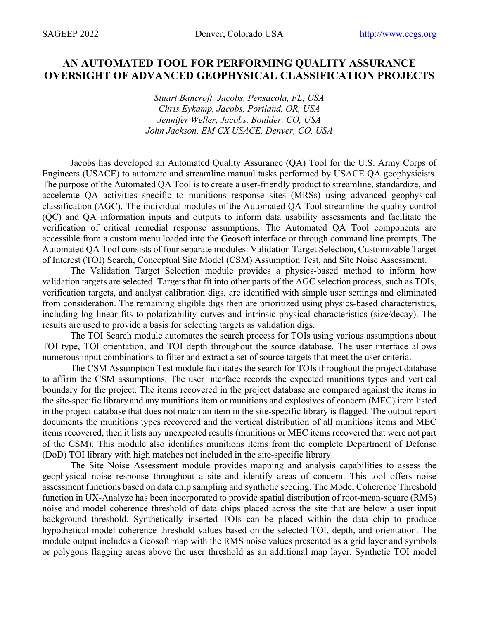## **AN AUTOMATED TOOL FOR PERFORMING QUALITY ASSURANCE OVERSIGHT OF ADVANCED GEOPHYSICAL CLASSIFICATION PROJECTS**

*Stuart Bancroft, Jacobs, Pensacola, FL, USA Chris Eykamp, Jacobs, Portland, OR, USA Jennifer Weller, Jacobs, Boulder, CO, USA John Jackson, EM CX USACE, Denver, CO, USA*

Jacobs has developed an Automated Quality Assurance (QA) Tool for the U.S. Army Corps of Engineers (USACE) to automate and streamline manual tasks performed by USACE QA geophysicists. The purpose of the Automated QA Tool is to create a user-friendly product to streamline, standardize, and accelerate QA activities specific to munitions response sites (MRSs) using advanced geophysical classification (AGC). The individual modules of the Automated QA Tool streamline the quality control (QC) and QA information inputs and outputs to inform data usability assessments and facilitate the verification of critical remedial response assumptions. The Automated QA Tool components are accessible from a custom menu loaded into the Geosoft interface or through command line prompts. The Automated QA Tool consists of four separate modules: Validation Target Selection, Customizable Target of Interest (TOI) Search, Conceptual Site Model (CSM) Assumption Test, and Site Noise Assessment.

The Validation Target Selection module provides a physics-based method to inform how validation targets are selected. Targets that fit into other parts of the AGC selection process, such as TOIs, verification targets, and analyst calibration digs, are identified with simple user settings and eliminated from consideration. The remaining eligible digs then are prioritized using physics-based characteristics, including log-linear fits to polarizability curves and intrinsic physical characteristics (size/decay). The results are used to provide a basis for selecting targets as validation digs.

The TOI Search module automates the search process for TOIs using various assumptions about TOI type, TOI orientation, and TOI depth throughout the source database. The user interface allows numerous input combinations to filter and extract a set of source targets that meet the user criteria.

The CSM Assumption Test module facilitates the search for TOIs throughout the project database to affirm the CSM assumptions. The user interface records the expected munitions types and vertical boundary for the project. The items recovered in the project database are compared against the items in the site-specific library and any munitions item or munitions and explosives of concern (MEC) item listed in the project database that does not match an item in the site-specific library is flagged. The output report documents the munitions types recovered and the vertical distribution of all munitions items and MEC items recovered, then it lists any unexpected results (munitions or MEC items recovered that were not part of the CSM). This module also identifies munitions items from the complete Department of Defense (DoD) TOI library with high matches not included in the site-specific library

The Site Noise Assessment module provides mapping and analysis capabilities to assess the geophysical noise response throughout a site and identify areas of concern. This tool offers noise assessment functions based on data chip sampling and synthetic seeding. The Model Coherence Threshold function in UX-Analyze has been incorporated to provide spatial distribution of root-mean-square (RMS) noise and model coherence threshold of data chips placed across the site that are below a user input background threshold. Synthetically inserted TOIs can be placed within the data chip to produce hypothetical model coherence threshold values based on the selected TOI, depth, and orientation. The module output includes a Geosoft map with the RMS noise values presented as a grid layer and symbols or polygons flagging areas above the user threshold as an additional map layer. Synthetic TOI model